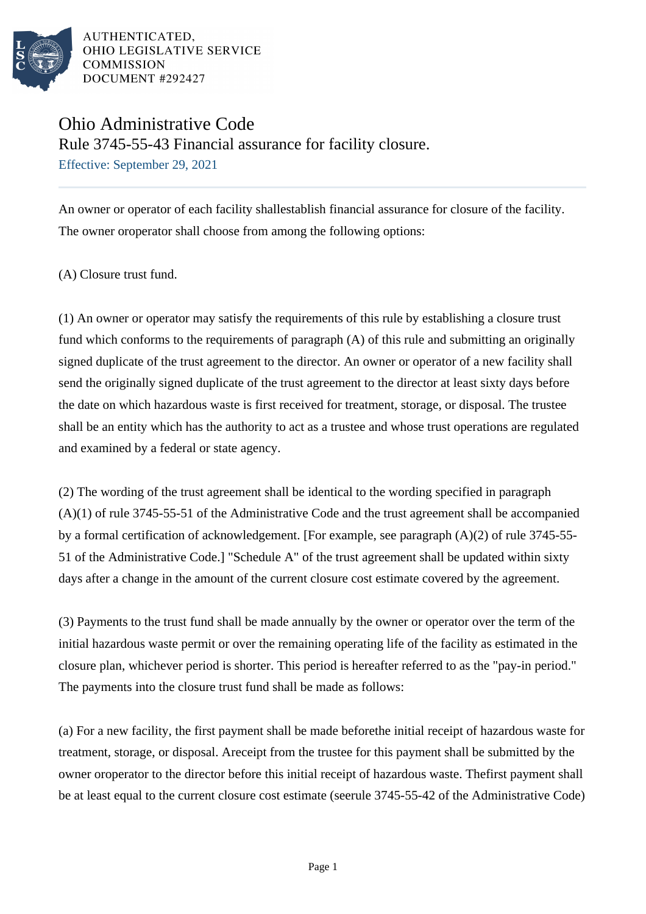

# Ohio Administrative Code

Rule 3745-55-43 Financial assurance for facility closure.

Effective: September 29, 2021

An owner or operator of each facility shallestablish financial assurance for closure of the facility. The owner oroperator shall choose from among the following options:

(A) Closure trust fund.

(1) An owner or operator may satisfy the requirements of this rule by establishing a closure trust fund which conforms to the requirements of paragraph  $(A)$  of this rule and submitting an originally signed duplicate of the trust agreement to the director. An owner or operator of a new facility shall send the originally signed duplicate of the trust agreement to the director at least sixty days before the date on which hazardous waste is first received for treatment, storage, or disposal. The trustee shall be an entity which has the authority to act as a trustee and whose trust operations are regulated and examined by a federal or state agency.

(2) The wording of the trust agreement shall be identical to the wording specified in paragraph  $(A)(1)$  of rule 3745-55-51 of the Administrative Code and the trust agreement shall be accompanied by a formal certification of acknowledgement. [For example, see paragraph (A)(2) of rule 3745-55- 51 of the Administrative Code.] "Schedule A" of the trust agreement shall be updated within sixty days after a change in the amount of the current closure cost estimate covered by the agreement.

(3) Payments to the trust fund shall be made annually by the owner or operator over the term of the initial hazardous waste permit or over the remaining operating life of the facility as estimated in the closure plan, whichever period is shorter. This period is hereafter referred to as the "pay-in period." The payments into the closure trust fund shall be made as follows:

(a) For a new facility, the first payment shall be made before the initial receipt of hazardous waste for treatment, storage, or disposal. A receipt from the trustee for this payment shall be submitted by the owner or operator to the director before this initial receipt of hazardous waste. The first payment shall be at least equal to the current closure cost estimate (see rule 3745-55-42 of the Administrative Code)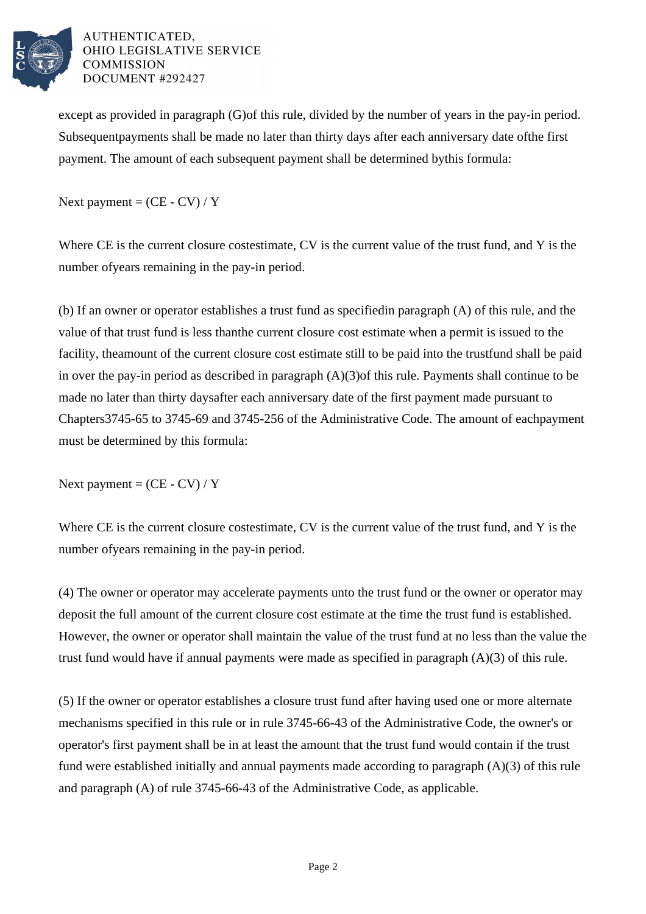

except as provided in paragraph (G) of this rule, divided by the number of years in the pay-in period. Subsequent payments shall be made no later than thirty days after each anniversary date of the first payment. The amount of each subsequent payment shall be determined by this formula:

Next payment  $=$  (CE - CV) / Y

Where CE is the current closure cost estimate, CV is the current value of the trust fund, and Y is the number of years remaining in the pay-in period.

(b) If an owner or operator establishes a trust fund as specified in paragraph  $(A)$  of this rule, and the value of that trust fund is less than the current closure cost estimate when a permit is issued to the facility, the amount of the current closure cost estimate still to be paid into the trust fund shall be paid in over the pay-in period as described in paragraph  $(A)(3)$  of this rule. Payments shall continue to be made no later than thirty days after each anniversary date of the first payment made pursuant to Chapters 3745-65 to 3745-69 and 3745-256 of the Administrative Code. The amount of each payment must be determined by this formula:

Next payment =  $(CE - CV) / Y$ 

Where CE is the current closure cost estimate, CV is the current value of the trust fund, and Y is the number of years remaining in the pay-in period.

(4) The owner or operator may accelerate payments unto the trust fund or the owner or operator may deposit the full amount of the current closure cost estimate at the time the trust fund is established. However, the owner or operator shall maintain the value of the trust fund at no less than the value the trust fund would have if annual payments were made as specified in paragraph  $(A)(3)$  of this rule.

(5) If the owner or operator establishes a closure trust fund after having used one or more alternate mechanisms specified in this rule or in rule 3745-66-43 of the Administrative Code, the owner's or operator's first payment shall be in at least the amount that the trust fund would contain if the trust fund were established initially and annual payments made according to paragraph  $(A)(3)$  of this rule and paragraph  $(A)$  of rule 3745-66-43 of the Administrative Code, as applicable.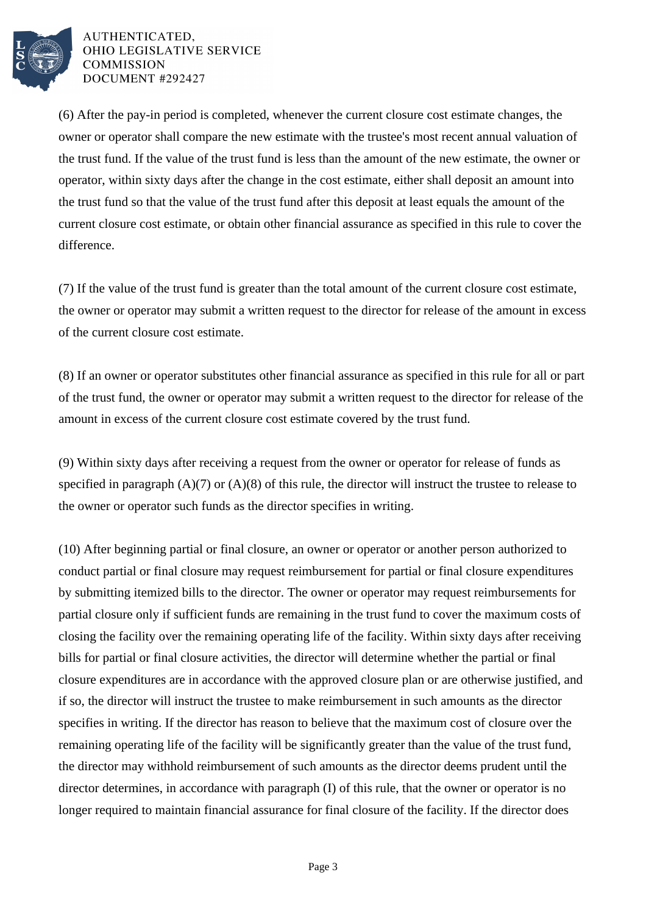

(6) After the pay-in period is completed, whenever the current closure cost estimate changes, the owner or operator shall compare the new estimate with the trustee's most recent annual valuation of the trust fund. If the value of the trust fund is less than the amount of the new estimate, the owner or operator, within sixty days after the change in the cost estimate, either shall deposit an amount into the trust fund so that the value of the trust fund after this deposit at least equals the amount of the current closure cost estimate, or obtain other financial assurance as specified in this rule to cover the difference.

(7) If the value of the trust fund is greater than the total amount of the current closure cost estimate, the owner or operator may submit a written request to the director for release of the amount in excess of the current closure cost estimate.

(8) If an owner or operator substitutes other financial assurance as specified in this rule for all or part of the trust fund, the owner or operator may submit a written request to the director for release of the amount in excess of the current closure cost estimate covered by the trust fund.

(9) Within sixty days after receiving a request from the owner or operator for release of funds as specified in paragraph  $(A)(7)$  or  $(A)(8)$  of this rule, the director will instruct the trustee to release to the owner or operator such funds as the director specifies in writing.

(10) After beginning partial or final closure, an owner or operator or another person authorized to conduct partial or final closure may request reimbursement for partial or final closure expenditures by submitting itemized bills to the director. The owner or operator may request reimbursements for partial closure only if sufficient funds are remaining in the trust fund to cover the maximum costs of closing the facility over the remaining operating life of the facility. Within sixty days after receiving bills for partial or final closure activities, the director will determine whether the partial or final closure expenditures are in accordance with the approved closure plan or are otherwise justified, and if so, the director will instruct the trustee to make reimbursement in such amounts as the director specifies in writing. If the director has reason to believe that the maximum cost of closure over the remaining operating life of the facility will be significantly greater than the value of the trust fund, the director may withhold reimbursement of such amounts as the director deems prudent until the director determines, in accordance with paragraph (I) of this rule, that the owner or operator is no longer required to maintain financial assurance for final closure of the facility. If the director does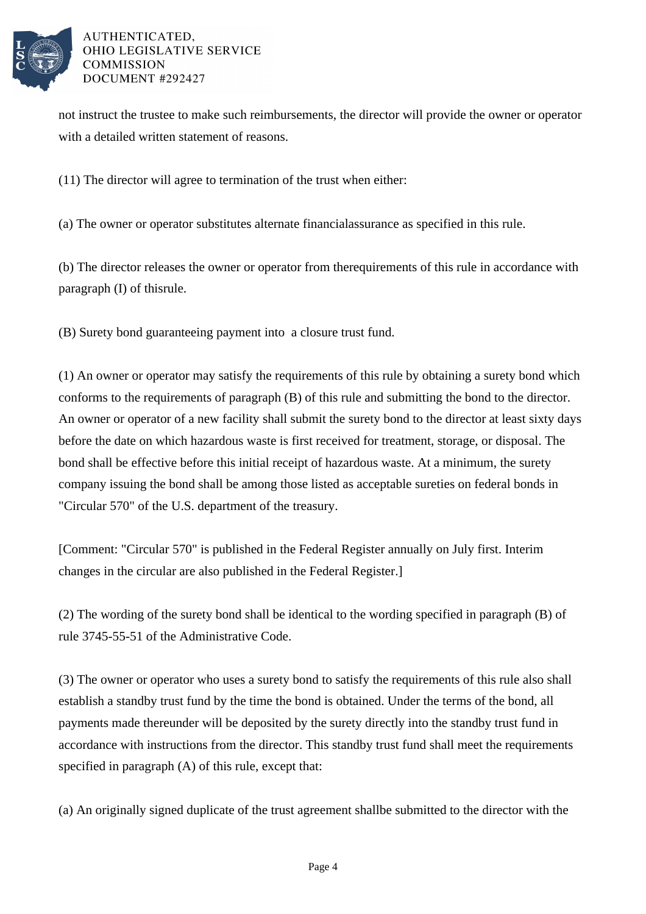

not instruct the trustee to make such reimbursements, the director will provide the owner or operator with a detailed written statement of reasons.

(11) The director will agree to termination of the trust when either:

(a) The owner or operator substitutes alternate financial assurance as specified in this rule.

(b) The director releases the owner or operator from the requirements of this rule in accordance with paragraph  $(I)$  of this rule.

(B) Surety bond guaranteeing payment into a closure trust fund.

(1) An owner or operator may satisfy the requirements of this rule by obtaining a surety bond which conforms to the requirements of paragraph (B) of this rule and submitting the bond to the director. An owner or operator of a new facility shall submit the surety bond to the director at least sixty days before the date on which hazardous waste is first received for treatment, storage, or disposal. The bond shall be effective before this initial receipt of hazardous waste. At a minimum, the surety company issuing the bond shall be among those listed as acceptable sureties on federal bonds in "Circular 570" of the U.S. department of the treasury.

[Comment: "Circular 570" is published in the Federal Register annually on July first. Interim changes in the circular are also published in the Federal Register.]

(2) The wording of the surety bond shall be identical to the wording specified in paragraph  $(B)$  of rule 3745-55-51 of the Administrative Code.

(3) The owner or operator who uses a surety bond to satisfy the requirements of this rule also shall establish a standby trust fund by the time the bond is obtained. Under the terms of the bond, all payments made thereunder will be deposited by the surety directly into the standby trust fund in accordance with instructions from the director. This standby trust fund shall meet the requirements specified in  $paragnh(A)$  of this rule, except that:

(a) An originally signed duplicate of the trust agreement shall be submitted to the director with the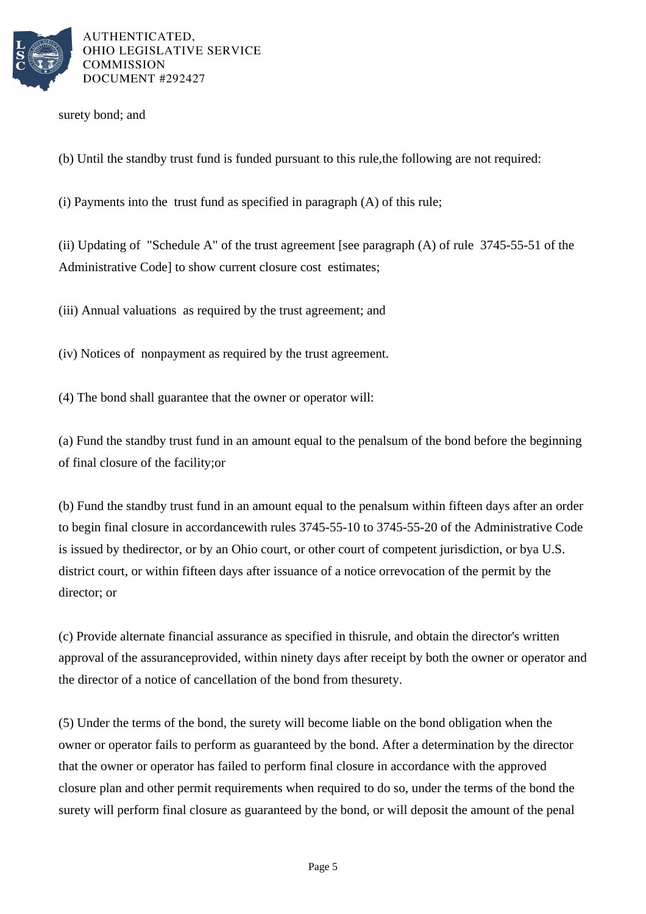

surety bond; and

(b) Until the standby trust fund is funded pursuant to this rule, the following are not required:

(i) Payments into the trust fund as specified in paragraph  $(A)$  of this rule;

(ii) Updating of "Schedule A" of the trust agreement [see paragraph  $(A)$  of rule 3745-55-51 of the Administrative Code] to show current closure cost estimates;

(iii) Annual valuations as required by the trust agreement; and

(iv) Notices of nonpayment as required by the trust agreement.

(4) The bond shall guarantee that the owner or operator will:

(a) Fund the standby trust fund in an amount equal to the penal sum of the bond before the beginning of final closure of the facility; or

(b) Fund the standby trust fund in an amount equal to the penal sum within fifteen days after an order to begin final closure in accordance with rules 3745-55-10 to 3745-55-20 of the Administrative Code is issued by the director, or by an Ohio court, or other court of competent jurisdiction, or by a U.S. district court, or within fifteen days after issuance of a notice or revocation of the permit by the director; or

(c) Provide alternate financial assurance as specified in this rule, and obtain the director's written approval of the assurance provided, within ninety days after receipt by both the owner or operator and the director of a notice of cancellation of the bond from the surety.

(5) Under the terms of the bond, the surety will become liable on the bond obligation when the owner or operator fails to perform as guaranteed by the bond. After a determination by the director that the owner or operator has failed to perform final closure in accordance with the approved closure plan and other permit requirements when required to do so, under the terms of the bond the surety will perform final closure as guaranteed by the bond, or will deposit the amount of the penal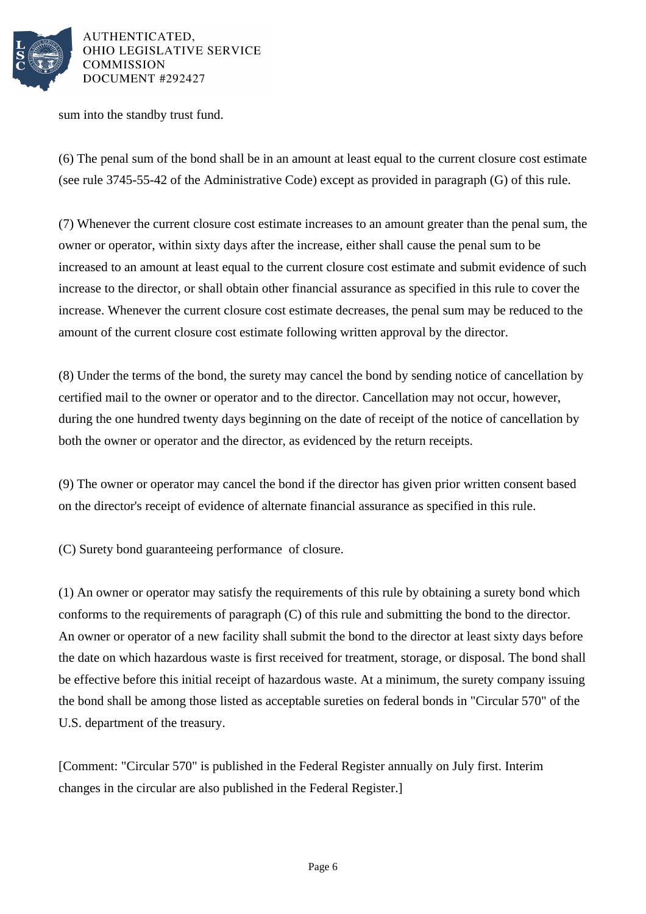

sum into the standby trust fund.

(6) The penal sum of the bond shall be in an amount at least equal to the current closure cost estimate (see rule 3745-55-42 of the Administrative Code) except as provided in paragraph  $(G)$  of this rule.

(7) Whenever the current closure cost estimate increases to an amount greater than the penal sum, the owner or operator, within sixty days after the increase, either shall cause the penal sum to be increased to an amount at least equal to the current closure cost estimate and submit evidence of such increase to the director, or shall obtain other financial assurance as specified in this rule to cover the increase. Whenever the current closure cost estimate decreases, the penal sum may be reduced to the amount of the current closure cost estimate following written approval by the director.

(8) Under the terms of the bond, the surety may cancel the bond by sending notice of cancellation by certified mail to the owner or operator and to the director. Cancellation may not occur, however, during the one hundred twenty days beginning on the date of receipt of the notice of cancellation by both the owner or operator and the director, as evidenced by the return receipts.

(9) The owner or operator may cancel the bond if the director has given prior written consent based on the director's receipt of evidence of alternate financial assurance as specified in this rule.

(C) Surety bond guaranteeing performance of closure.

(1) An owner or operator may satisfy the requirements of this rule by obtaining a surety bond which conforms to the requirements of paragraph  $(C)$  of this rule and submitting the bond to the director. An owner or operator of a new facility shall submit the bond to the director at least sixty days before the date on which hazardous waste is first received for treatment, storage, or disposal. The bond shall be effective before this initial receipt of hazardous waste. At a minimum, the surety company issuing the bond shall be among those listed as acceptable sureties on federal bonds in "Circular 570" of the U.S. department of the treasury.

[Comment: "Circular 570" is published in the Federal Register annually on July first. Interim changes in the circular are also published in the Federal Register.]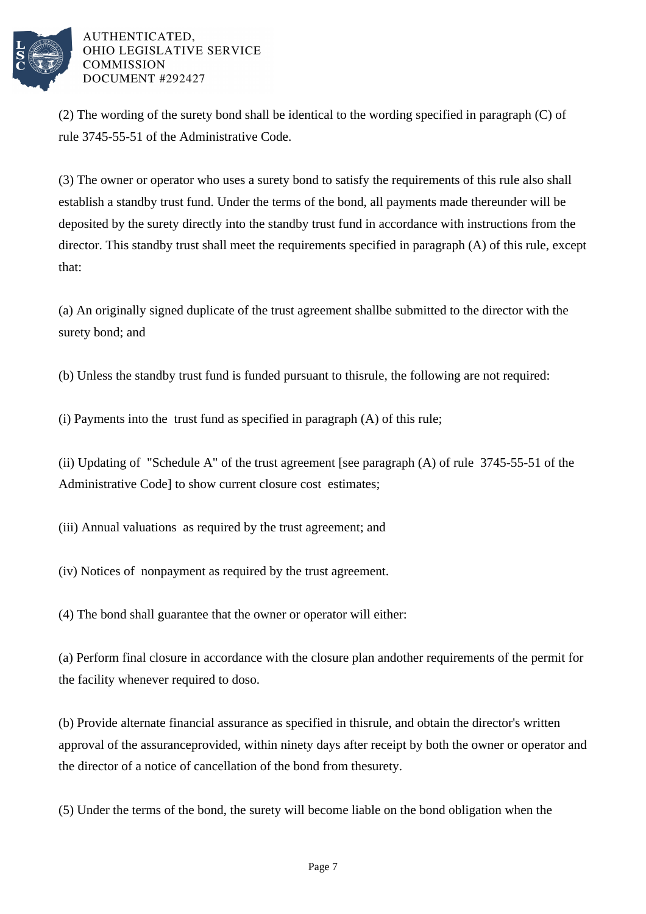

(2) The wording of the surety bond shall be identical to the wording specified in paragraph (C) of rule 3745-55-51 of the Administrative Code.

(3) The owner or operator who uses a surety bond to satisfy the requirements of this rule also shall establish a standby trust fund. Under the terms of the bond, all payments made thereunder will be deposited by the surety directly into the standby trust fund in accordance with instructions from the director. This standby trust shall meet the requirements specified in paragraph  $(A)$  of this rule, except that:

(a) An originally signed duplicate of the trust agreement shall be submitted to the director with the surety bond; and

(b) Unless the standby trust fund is funded pursuant to this rule, the following are not required:

(i) Payments into the trust fund as specified in paragraph  $(A)$  of this rule;

(ii) Updating of "Schedule A" of the trust agreement [see paragraph  $(A)$  of rule 3745-55-51 of the Administrative Code] to show current closure cost estimates;

(iii) Annual valuations as required by the trust agreement; and

(iv) Notices of nonpayment as required by the trust agreement.

(4) The bond shall guarantee that the owner or operator will either:

(a) Perform final closure in accordance with the closure plan and other requirements of the permit for the facility whenever required to do so.

(b) Provide alternate financial assurance as specified in this rule, and obtain the director's written approval of the assurance provided, within ninety days after receipt by both the owner or operator and the director of a notice of cancellation of the bond from the surety.

(5) Under the terms of the bond, the surety will become liable on the bond obligation when the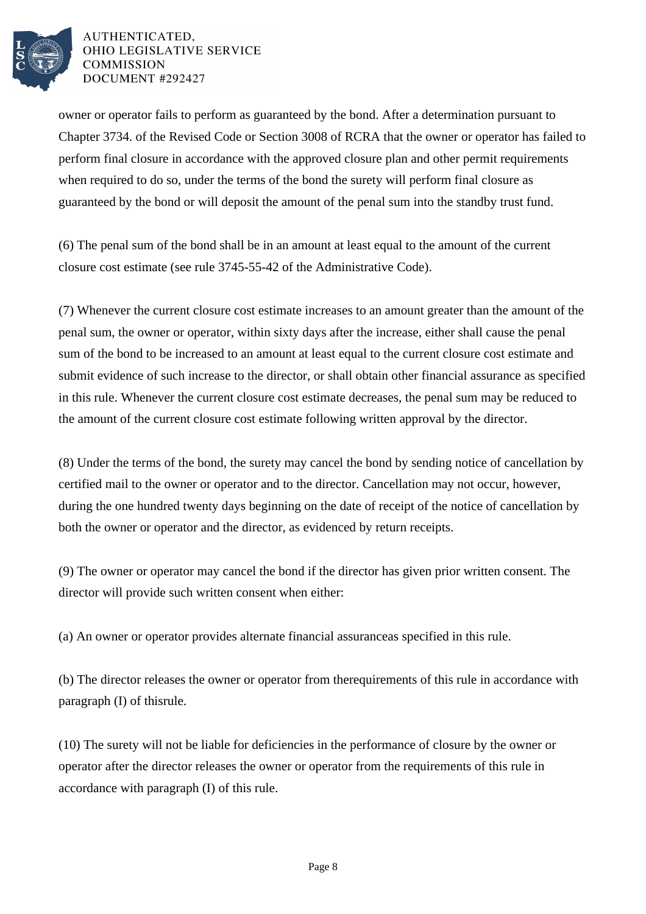

owner or operator fails to perform as guaranteed by the bond. After a determination pursuant to Chapter 3734. of the Revised Code or Section 3008 of RCRA that the owner or operator has failed to perform final closure in accordance with the approved closure plan and other permit requirements when required to do so, under the terms of the bond the surety will perform final closure as guaranteed by the bond or will deposit the amount of the penal sum into the standby trust fund.

(6) The penal sum of the bond shall be in an amount at least equal to the amount of the current closure cost estimate (see rule 3745-55-42 of the Administrative Code).

(7) Whenever the current closure cost estimate increases to an amount greater than the amount of the penal sum, the owner or operator, within sixty days after the increase, either shall cause the penal sum of the bond to be increased to an amount at least equal to the current closure cost estimate and submit evidence of such increase to the director, or shall obtain other financial assurance as specified in this rule. Whenever the current closure cost estimate decreases, the penal sum may be reduced to the amount of the current closure cost estimate following written approval by the director.

(8) Under the terms of the bond, the surety may cancel the bond by sending notice of cancellation by certified mail to the owner or operator and to the director. Cancellation may not occur, however, during the one hundred twenty days beginning on the date of receipt of the notice of cancellation by both the owner or operator and the director, as evidenced by return receipts.

(9) The owner or operator may cancel the bond if the director has given prior written consent. The director will provide such written consent when either:

(a) An owner or operator provides alternate financial assurance as specified in this rule.

(b) The director releases the owner or operator from the requirements of this rule in accordance with paragraph  $(I)$  of this rule.

(10) The surety will not be liable for deficiencies in the performance of closure by the owner or operator after the director releases the owner or operator from the requirements of this rule in accordance with paragraph  $(I)$  of this rule.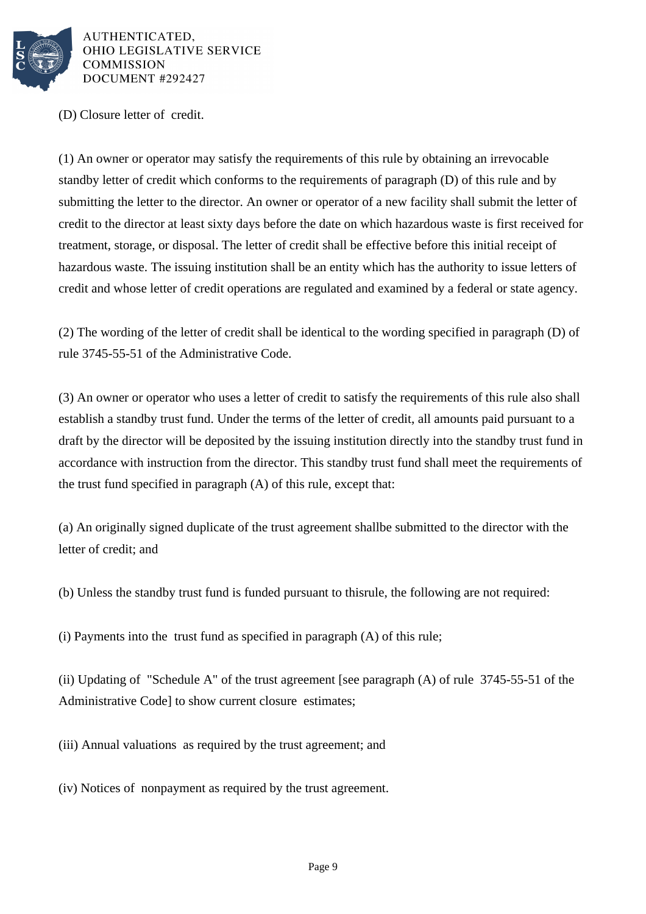

(D) Closure letter of credit.

(1) An owner or operator may satisfy the requirements of this rule by obtaining an irrevocable standby letter of credit which conforms to the requirements of paragraph  $(D)$  of this rule and by submitting the letter to the director. An owner or operator of a new facility shall submit the letter of credit to the director at least sixty days before the date on which hazardous waste is first received for treatment, storage, or disposal. The letter of credit shall be effective before this initial receipt of hazardous waste. The issuing institution shall be an entity which has the authority to issue letters of credit and whose letter of credit operations are regulated and examined by a federal or state agency.

(2) The wording of the letter of credit shall be identical to the wording specified in paragraph (D) of rule 3745-55-51 of the Administrative Code.

(3) An owner or operator who uses a letter of credit to satisfy the requirements of this rule also shall establish a standby trust fund. Under the terms of the letter of credit, all amounts paid pursuant to a draft by the director will be deposited by the issuing institution directly into the standby trust fund in accordance with instruction from the director. This standby trust fund shall meet the requirements of the trust fund specified in paragraph  $(A)$  of this rule, except that:

(a) An originally signed duplicate of the trust agreement shall be submitted to the director with the letter of credit; and

(b) Unless the standby trust fund is funded pursuant to this rule, the following are not required:

(i) Payments into the trust fund as specified in paragraph  $(A)$  of this rule;

(ii) Updating of "Schedule A" of the trust agreement [see paragraph  $(A)$  of rule 3745-55-51 of the Administrative Code] to show current closure estimates;

(iii) Annual valuations as required by the trust agreement; and

(iv) Notices of nonpayment as required by the trust agreement.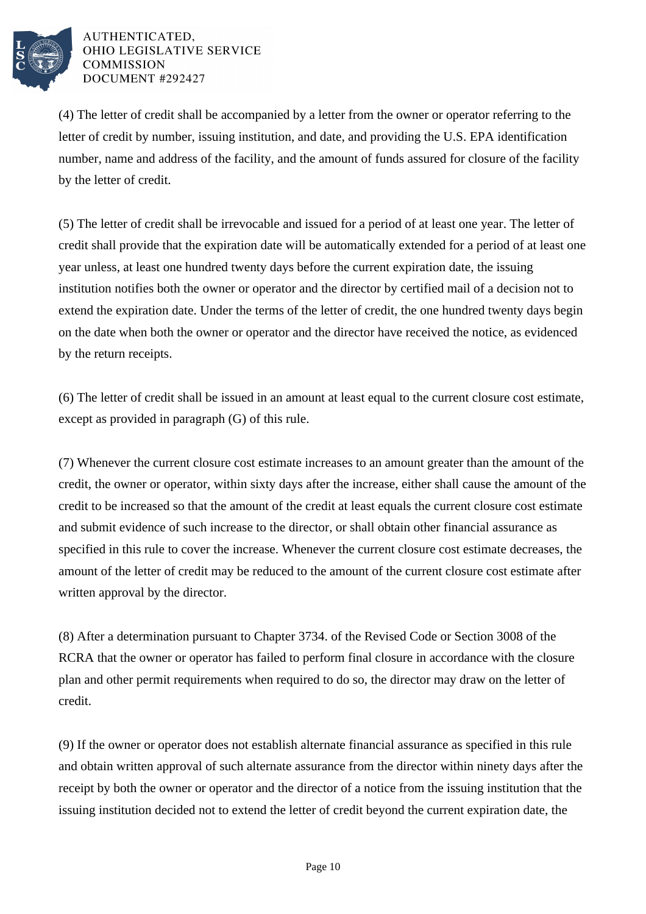

(4) The letter of credit shall be accompanied by a letter from the owner or operator referring to the letter of credit by number, issuing institution, and date, and providing the U.S. EPA identification number, name and address of the facility, and the amount of funds assured for closure of the facility by the letter of credit.

(5) The letter of credit shall be irrevocable and issued for a period of at least one year. The letter of credit shall provide that the expiration date will be automatically extended for a period of at least one year unless, at least one hundred twenty days before the current expiration date, the issuing institution notifies both the owner or operator and the director by certified mail of a decision not to extend the expiration date. Under the terms of the letter of credit, the one hundred twenty days begin on the date when both the owner or operator and the director have received the notice, as evidenced by the return receipts.

(6) The letter of credit shall be issued in an amount at least equal to the current closure cost estimate, except as provided in paragraph (G) of this rule.

(7) Whenever the current closure cost estimate increases to an amount greater than the amount of the credit, the owner or operator, within sixty days after the increase, either shall cause the amount of the credit to be increased so that the amount of the credit at least equals the current closure cost estimate and submit evidence of such increase to the director, or shall obtain other financial assurance as specified in this rule to cover the increase. Whenever the current closure cost estimate decreases, the amount of the letter of credit may be reduced to the amount of the current closure cost estimate after written approval by the director.

(8) After a determination pursuant to Chapter 3734. of the Revised Code or Section 3008 of the RCRA that the owner or operator has failed to perform final closure in accordance with the closure plan and other permit requirements when required to do so, the director may draw on the letter of credit.

(9) If the owner or operator does not establish alternate financial assurance as specified in this rule and obtain written approval of such alternate assurance from the director within ninety days after the receipt by both the owner or operator and the director of a notice from the issuing institution that the issuing institution decided not to extend the letter of credit beyond the current expiration date, the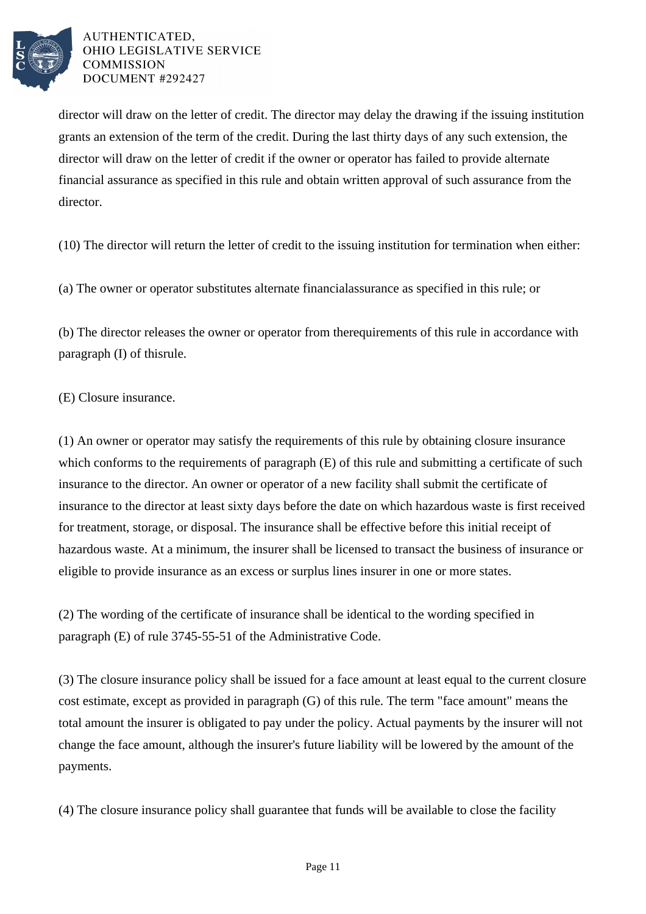

director will draw on the letter of credit. The director may delay the drawing if the issuing institution grants an extension of the term of the credit. During the last thirty days of any such extension, the director will draw on the letter of credit if the owner or operator has failed to provide alternate financial assurance as specified in this rule and obtain written approval of such assurance from the director.

(10) The director will return the letter of credit to the issuing institution for termination when either:

(a) The owner or operator substitutes alternate financial assurance as specified in this rule; or

(b) The director releases the owner or operator from the requirements of this rule in accordance with paragraph  $(I)$  of this rule.

(E) Closure insurance.

(1) An owner or operator may satisfy the requirements of this rule by obtaining closure insurance which conforms to the requirements of paragraph  $(E)$  of this rule and submitting a certificate of such insurance to the director. An owner or operator of a new facility shall submit the certificate of insurance to the director at least sixty days before the date on which hazardous waste is first received for treatment, storage, or disposal. The insurance shall be effective before this initial receipt of hazardous waste. At a minimum, the insurer shall be licensed to transact the business of insurance or eligible to provide insurance as an excess or surplus lines insurer in one or more states.

(2) The wording of the certificate of insurance shall be identical to the wording specified in paragraph (E) of rule 3745-55-51 of the Administrative Code.

(3) The closure insurance policy shall be issued for a face amount at least equal to the current closure cost estimate, except as provided in paragraph (G) of this rule. The term "face amount" means the total amount the insurer is obligated to pay under the policy. Actual payments by the insurer will not change the face amount, although the insurer's future liability will be lowered by the amount of the payments.

(4) The closure insurance policy shall guarantee that funds will be available to close the facility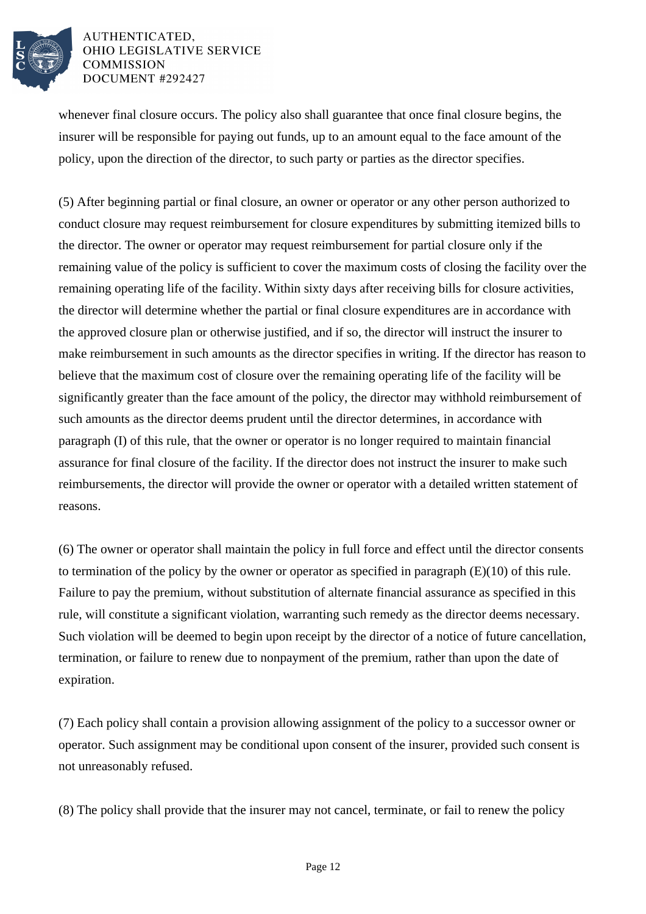

whenever final closure occurs. The policy also shall guarantee that once final closure begins, the insurer will be responsible for paying out funds, up to an amount equal to the face amount of the policy, upon the direction of the director, to such party or parties as the director specifies.

(5) After beginning partial or final closure, an owner or operator or any other person authorized to conduct closure may request reimbursement for closure expenditures by submitting itemized bills to the director. The owner or operator may request reimbursement for partial closure only if the remaining value of the policy is sufficient to cover the maximum costs of closing the facility over the remaining operating life of the facility. Within sixty days after receiving bills for closure activities, the director will determine whether the partial or final closure expenditures are in accordance with the approved closure plan or otherwise justified, and if so, the director will instruct the insurer to make reimbursement in such amounts as the director specifies in writing. If the director has reason to believe that the maximum cost of closure over the remaining operating life of the facility will be significantly greater than the face amount of the policy, the director may withhold reimbursement of such amounts as the director deems prudent until the director determines, in accordance with paragraph (I) of this rule, that the owner or operator is no longer required to maintain financial assurance for final closure of the facility. If the director does not instruct the insurer to make such reimbursements, the director will provide the owner or operator with a detailed written statement of reasons.

(6) The owner or operator shall maintain the policy in full force and effect until the director consents to termination of the policy by the owner or operator as specified in paragraph  $(E)(10)$  of this rule. Failure to pay the premium, without substitution of alternate financial assurance as specified in this rule, will constitute a significant violation, warranting such remedy as the director deems necessary. Such violation will be deemed to begin upon receipt by the director of a notice of future cancellation, termination, or failure to renew due to nonpayment of the premium, rather than upon the date of expiration.

(7) Each policy shall contain a provision allowing assignment of the policy to a successor owner or operator. Such assignment may be conditional upon consent of the insurer, provided such consent is not unreasonably refused.

(8) The policy shall provide that the insurer may not cancel, terminate, or fail to renew the policy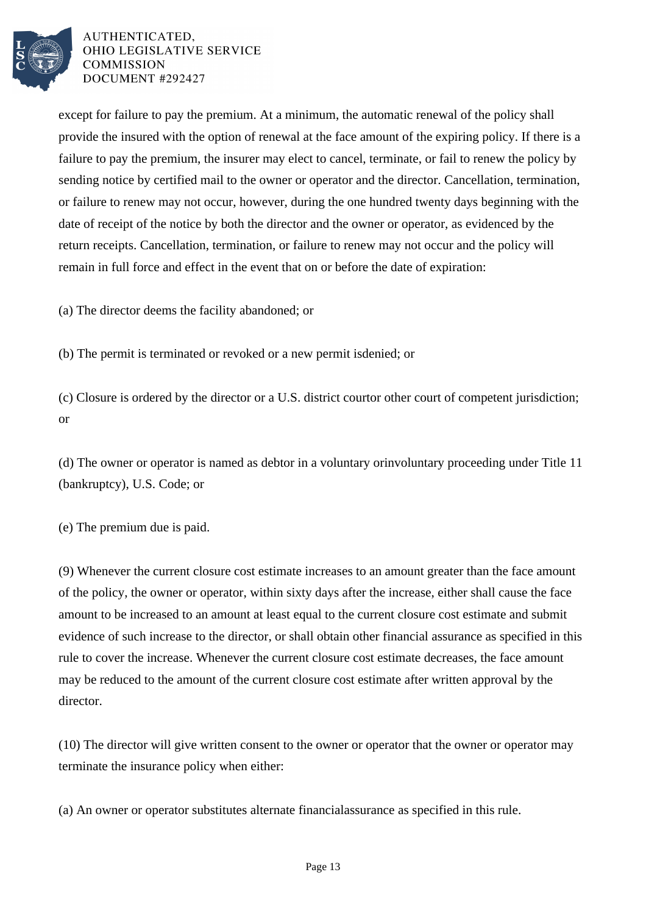

except for failure to pay the premium. At a minimum, the automatic renewal of the policy shall provide the insured with the option of renewal at the face amount of the expiring policy. If there is a failure to pay the premium, the insurer may elect to cancel, terminate, or fail to renew the policy by sending notice by certified mail to the owner or operator and the director. Cancellation, termination, or failure to renew may not occur, however, during the one hundred twenty days beginning with the date of receipt of the notice by both the director and the owner or operator, as evidenced by the return receipts. Cancellation, termination, or failure to renew may not occur and the policy will remain in full force and effect in the event that on or before the date of expiration:

(a) The director deems the facility abandoned; or

(b) The permit is terminated or revoked or a new permit is denied; or

(c) Closure is ordered by the director or a U.S. district court or other court of competent jurisdiction; or

(d) The owner or operator is named as debtor in a voluntary or involuntary proceeding under Title 11 (bankruptcy), U.S. Code; or

(e) The premium due is paid.

(9) Whenever the current closure cost estimate increases to an amount greater than the face amount of the policy, the owner or operator, within sixty days after the increase, either shall cause the face amount to be increased to an amount at least equal to the current closure cost estimate and submit evidence of such increase to the director, or shall obtain other financial assurance as specified in this rule to cover the increase. Whenever the current closure cost estimate decreases, the face amount may be reduced to the amount of the current closure cost estimate after written approval by the director.

(10) The director will give written consent to the owner or operator that the owner or operator may terminate the insurance policy when either:

(a) An owner or operator substitutes alternate financial assurance as specified in this rule.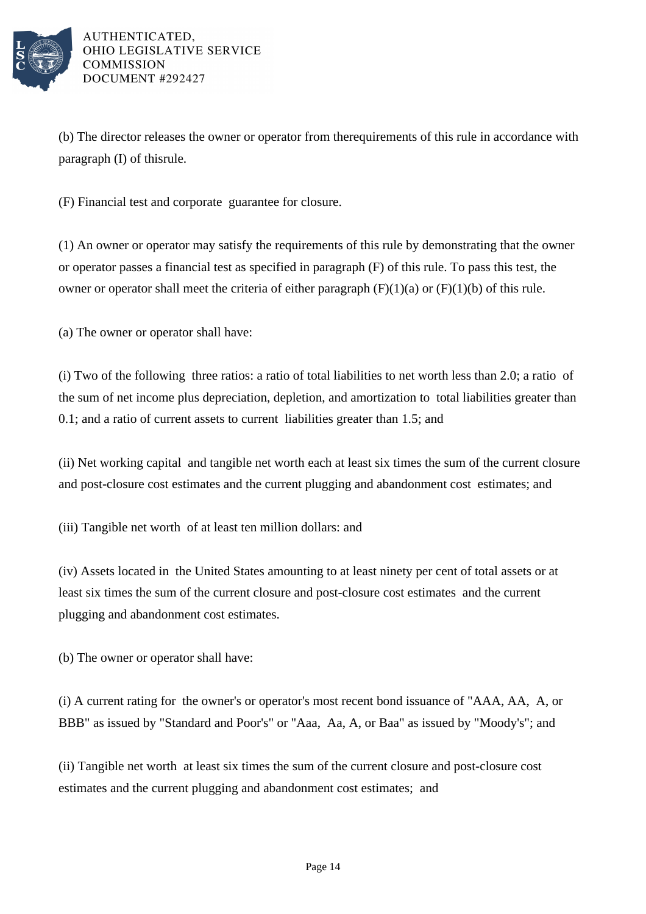

(b) The director releases the owner or operator from the requirements of this rule in accordance with paragraph  $(I)$  of this rule.

(F) Financial test and corporate guarantee for closure.

(1) An owner or operator may satisfy the requirements of this rule by demonstrating that the owner or operator passes a financial test as specified in paragraph  $(F)$  of this rule. To pass this test, the owner or operator shall meet the criteria of either paragraph  $(F)(1)(a)$  or  $(F)(1)(b)$  of this rule.

(a) The owner or operator shall have:

(i) Two of the following three ratios: a ratio of total liabilities to net worth less than 2.0; a ratio of the sum of net income plus depreciation, depletion, and amortization to total liabilities greater than 0.1; and a ratio of current assets to current liabilities greater than 1.5; and

(ii) Net working capital and tangible net worth each at least six times the sum of the current closure and post-closure cost estimates and the current plugging and abandonment cost estimates; and

(iii) Tangible net worth of at least ten million dollars: and

(iv) Assets located in the United States amounting to at least ninety per cent of total assets or at least six times the sum of the current closure and post-closure cost estimates and the current plugging and abandonment cost estimates.

(b) The owner or operator shall have:

(i) A current rating for the owner's or operator's most recent bond issuance of "AAA, AA, A, or BBB" as issued by "Standard and Poor's" or "Aaa, Aa, A, or Baa" as issued by "Moody's"; and

(ii) Tangible net worth at least six times the sum of the current closure and post-closure cost estimates and the current plugging and abandonment cost estimates; and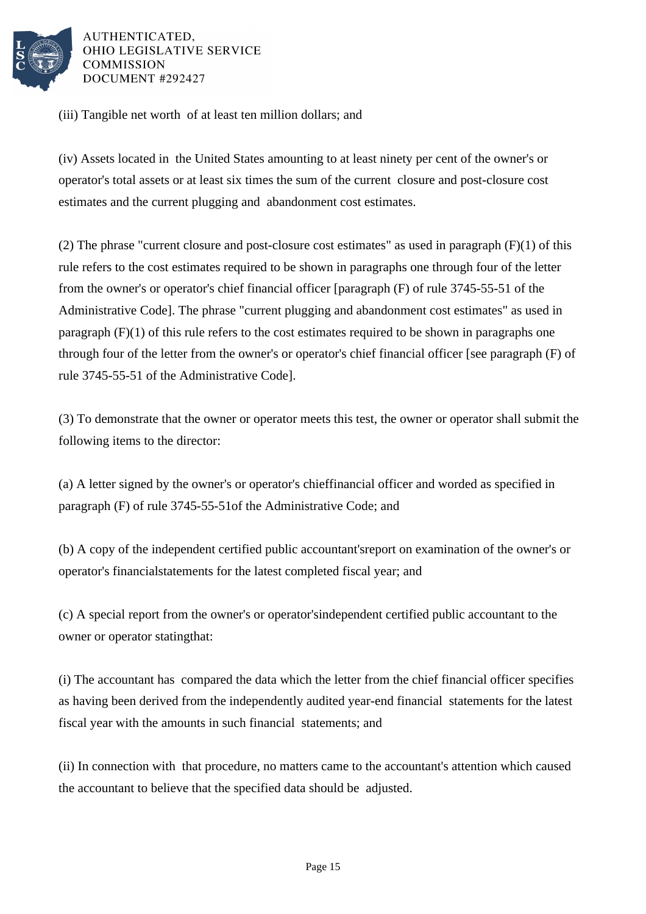

(iii) Tangible net worth of at least ten million dollars; and

(iv) Assets located in the United States amounting to at least ninety per cent of the owner's or operator's total assets or at least six times the sum of the current closure and post-closure cost estimates and the current plugging and abandonment cost estimates.

(2) The phrase "current closure and post-closure cost estimates" as used in paragraph  $(F)(1)$  of this rule refers to the cost estimates required to be shown in paragraphs one through four of the letter from the owner's or operator's chief financial officer [paragraph  $(F)$  of rule 3745-55-51 of the Administrative Code]. The phrase "current plugging and abandonment cost estimates" as used in paragraph  $(F)(1)$  of this rule refers to the cost estimates required to be shown in paragraphs one through four of the letter from the owner's or operator's chief financial officer [see paragraph (F) of rule 3745-55-51 of the Administrative Code].

(3) To demonstrate that the owner or operator meets this test, the owner or operator shall submit the following items to the director:

(a) A letter signed by the owner's or operator's chief financial officer and worded as specified in paragraph (F) of rule 3745-55-51 of the Administrative Code; and

(b) A copy of the independent certified public accountant's report on examination of the owner's or operator's financial statements for the latest completed fiscal year; and

(c) A special report from the owner's or operator's independent certified public accountant to the owner or operator stating that:

(i) The accountant has compared the data which the letter from the chief financial officer specifies as having been derived from the independently audited year-end financial statements for the latest fiscal year with the amounts in such financial statements; and

(ii) In connection with that procedure, no matters came to the accountant's attention which caused the accountant to believe that the specified data should be adjusted.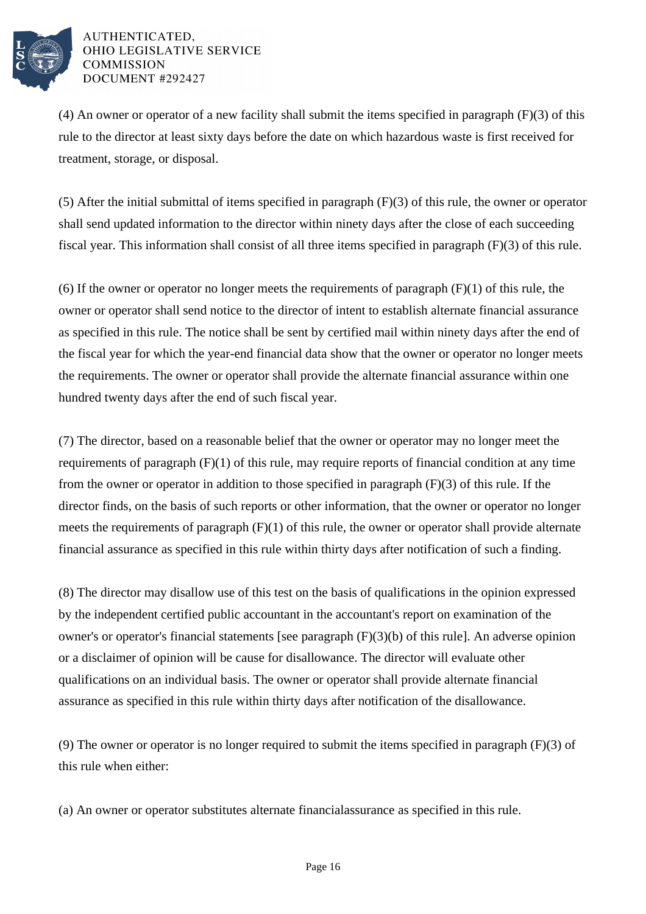

(4) An owner or operator of a new facility shall submit the items specified in paragraph  $(F)(3)$  of this rule to the director at least sixty days before the date on which hazardous waste is first received for treatment, storage, or disposal.

(5) After the initial submittal of items specified in paragraph  $(F)(3)$  of this rule, the owner or operator shall send updated information to the director within ninety days after the close of each succeeding fiscal year. This information shall consist of all three items specified in paragraph  $(F)(3)$  of this rule.

(6) If the owner or operator no longer meets the requirements of paragraph  $(F)(1)$  of this rule, the owner or operator shall send notice to the director of intent to establish alternate financial assurance as specified in this rule. The notice shall be sent by certified mail within ninety days after the end of the fiscal year for which the year-end financial data show that the owner or operator no longer meets the requirements. The owner or operator shall provide the alternate financial assurance within one hundred twenty days after the end of such fiscal year.

(7) The director, based on a reasonable belief that the owner or operator may no longer meet the requirements of paragraph  $(F)(1)$  of this rule, may require reports of financial condition at any time from the owner or operator in addition to those specified in paragraph  $(F)(3)$  of this rule. If the director finds, on the basis of such reports or other information, that the owner or operator no longer meets the requirements of paragraph  $(F)(1)$  of this rule, the owner or operator shall provide alternate financial assurance as specified in this rule within thirty days after notification of such a finding.

(8) The director may disallow use of this test on the basis of qualifications in the opinion expressed by the independent certified public accountant in the accountant's report on examination of the owner's or operator's financial statements [see paragraph  $(F)(3)(b)$  of this rule]. An adverse opinion or a disclaimer of opinion will be cause for disallowance. The director will evaluate other qualifications on an individual basis. The owner or operator shall provide alternate financial assurance as specified in this rule within thirty days after notification of the disallowance.

(9) The owner or operator is no longer required to submit the items specified in paragraph  $(F)(3)$  of this rule when either:

(a) An owner or operator substitutes alternate financial assurance as specified in this rule.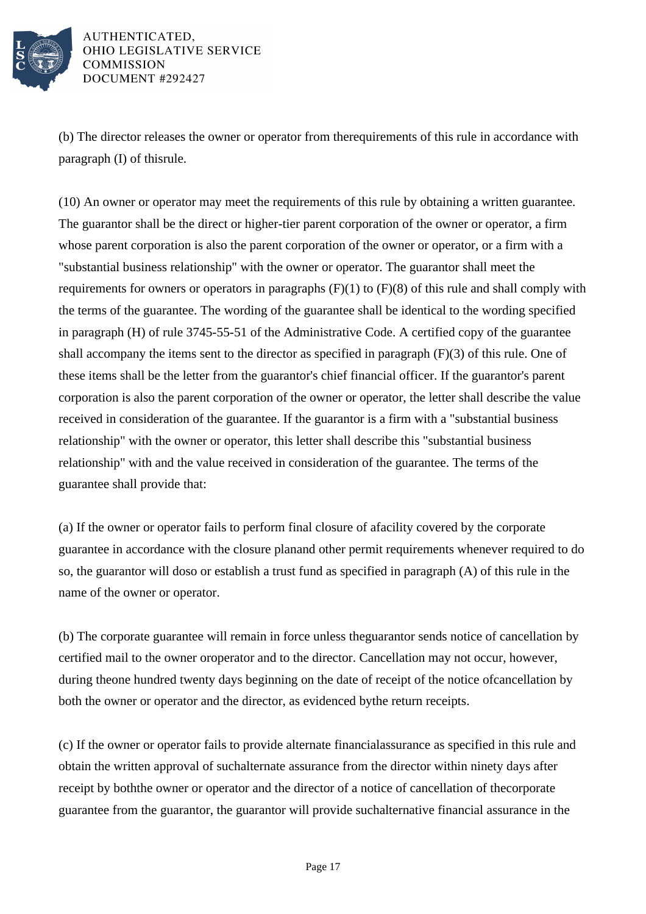

(b) The director releases the owner or operator from the requirements of this rule in accordance with paragraph  $(I)$  of this rule.

(10) An owner or operator may meet the requirements of this rule by obtaining a written guarantee. The guarantor shall be the direct or higher-tier parent corporation of the owner or operator, a firm whose parent corporation is also the parent corporation of the owner or operator, or a firm with a "substantial business relationship" with the owner or operator. The guarantor shall meet the requirements for owners or operators in paragraphs  $(F)(1)$  to  $(F)(8)$  of this rule and shall comply with the terms of the guarantee. The wording of the guarantee shall be identical to the wording specified in paragraph  $(H)$  of rule 3745-55-51 of the Administrative Code. A certified copy of the guarantee shall accompany the items sent to the director as specified in paragraph  $(F)(3)$  of this rule. One of these items shall be the letter from the guarantor's chief financial officer. If the guarantor's parent corporation is also the parent corporation of the owner or operator, the letter shall describe the value received in consideration of the guarantee. If the guarantor is a firm with a "substantial business relationship" with the owner or operator, this letter shall describe this "substantial business relationship" with and the value received in consideration of the guarantee. The terms of the guarantee shall provide that:

(a) If the owner or operator fails to perform final closure of a facility covered by the corporate guarantee in accordance with the closure plan and other permit requirements whenever required to do so, the guarantor will do so or establish a trust fund as specified in paragraph (A) of this rule in the name of the owner or operator.

(b) The corporate guarantee will remain in force unless the guarantor sends notice of cancellation by certified mail to the owner or operator and to the director. Cancellation may not occur, however, during the one hundred twenty days beginning on the date of receipt of the notice of cancellation by both the owner or operator and the director, as evidenced by the return receipts.

(c) If the owner or operator fails to provide alternate financial assurance as specified in this rule and obtain the written approval of such alternate assurance from the director within ninety days after receipt by both the owner or operator and the director of a notice of cancellation of the corporate guarantee from the guarantor, the guarantor will provide such alternative financial assurance in the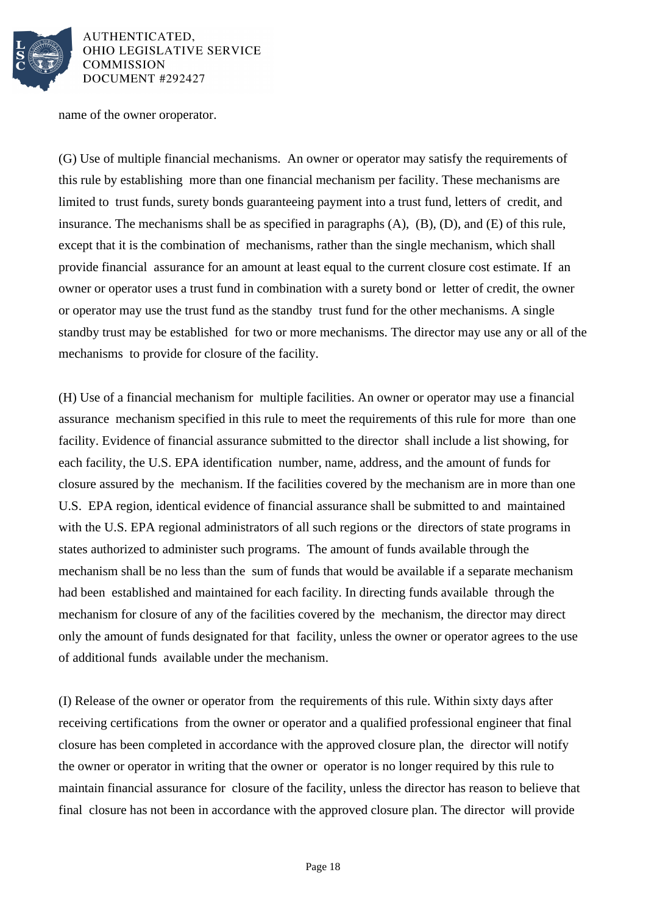

name of the owner or operator.

(G) Use of multiple financial mechanisms. An owner or operator may satisfy the requirements of this rule by establishing more than one financial mechanism per facility. These mechanisms are limited to trust funds, surety bonds guaranteeing payment into a trust fund, letters of credit, and insurance. The mechanisms shall be as specified in paragraphs (A), (B), (D), and (E) of this rule, except that it is the combination of mechanisms, rather than the single mechanism, which shall provide financial assurance for an amount at least equal to the current closure cost estimate. If an owner or operator uses a trust fund in combination with a surety bond or letter of credit, the owner or operator may use the trust fund as the standby trust fund for the other mechanisms. A single standby trust may be established for two or more mechanisms. The director may use any or all of the mechanisms to provide for closure of the facility.

(H) Use of a financial mechanism for multiple facilities. An owner or operator may use a financial assurance mechanism specified in this rule to meet the requirements of this rule for more than one facility. Evidence of financial assurance submitted to the director shall include a list showing, for each facility, the U.S. EPA identification number, name, address, and the amount of funds for closure assured by the mechanism. If the facilities covered by the mechanism are in more than one U.S. EPA region, identical evidence of financial assurance shall be submitted to and maintained with the U.S. EPA regional administrators of all such regions or the directors of state programs in states authorized to administer such programs. The amount of funds available through the mechanism shall be no less than the sum of funds that would be available if a separate mechanism had been established and maintained for each facility. In directing funds available through the mechanism for closure of any of the facilities covered by the mechanism, the director may direct only the amount of funds designated for that facility, unless the owner or operator agrees to the use of additional funds available under the mechanism.

(I) Release of the owner or operator from the requirements of this rule. Within sixty days after receiving certifications from the owner or operator and a qualified professional engineer that final closure has been completed in accordance with the approved closure plan, the director will notify the owner or operator in writing that the owner or operator is no longer required by this rule to maintain financial assurance for closure of the facility, unless the director has reason to believe that final closure has not been in accordance with the approved closure plan. The director will provide